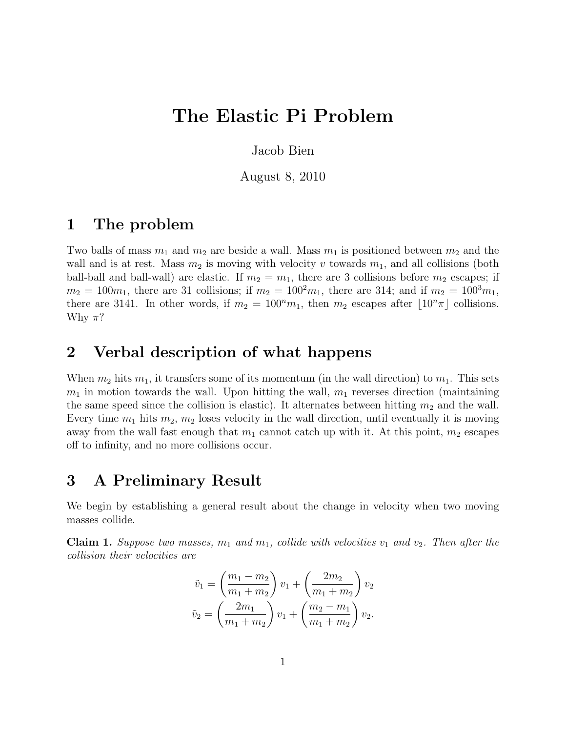# The Elastic Pi Problem

Jacob Bien

August 8, 2010

## 1 The problem

Two balls of mass  $m_1$  and  $m_2$  are beside a wall. Mass  $m_1$  is positioned between  $m_2$  and the wall and is at rest. Mass  $m_2$  is moving with velocity v towards  $m_1$ , and all collisions (both ball-ball and ball-wall) are elastic. If  $m_2 = m_1$ , there are 3 collisions before  $m_2$  escapes; if  $m_2 = 100m_1$ , there are 31 collisions; if  $m_2 = 100^2m_1$ , there are 314; and if  $m_2 = 100^3m_1$ , there are 3141. In other words, if  $m_2 = 100<sup>n</sup>m_1$ , then  $m_2$  escapes after  $\lfloor 10<sup>n</sup> \pi \rfloor$  collisions. Why  $\pi$ ?

## 2 Verbal description of what happens

When  $m_2$  hits  $m_1$ , it transfers some of its momentum (in the wall direction) to  $m_1$ . This sets  $m_1$  in motion towards the wall. Upon hitting the wall,  $m_1$  reverses direction (maintaining the same speed since the collision is elastic). It alternates between hitting  $m_2$  and the wall. Every time  $m_1$  hits  $m_2$ ,  $m_2$  loses velocity in the wall direction, until eventually it is moving away from the wall fast enough that  $m_1$  cannot catch up with it. At this point,  $m_2$  escapes off to infinity, and no more collisions occur.

### 3 A Preliminary Result

We begin by establishing a general result about the change in velocity when two moving masses collide.

**Claim 1.** Suppose two masses,  $m_1$  and  $m_1$ , collide with velocities  $v_1$  and  $v_2$ . Then after the collision their velocities are

$$
\tilde{v}_1 = \left(\frac{m_1 - m_2}{m_1 + m_2}\right) v_1 + \left(\frac{2m_2}{m_1 + m_2}\right) v_2
$$

$$
\tilde{v}_2 = \left(\frac{2m_1}{m_1 + m_2}\right) v_1 + \left(\frac{m_2 - m_1}{m_1 + m_2}\right) v_2.
$$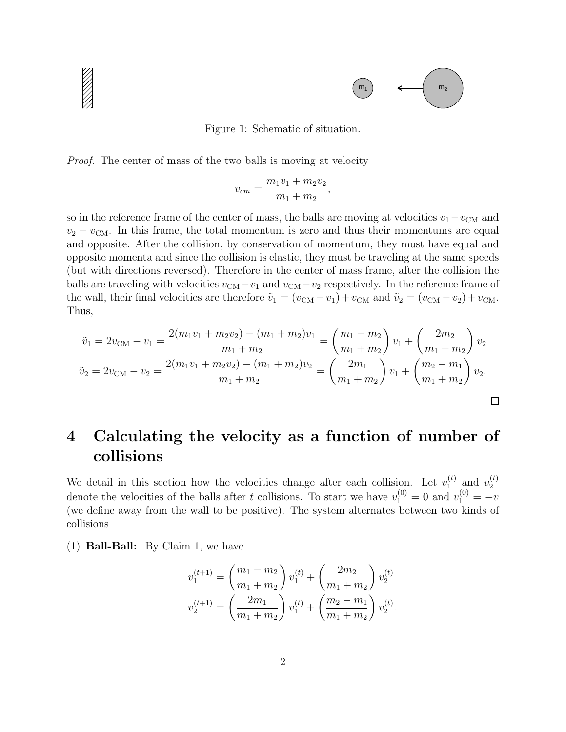

Figure 1: Schematic of situation.

Proof. The center of mass of the two balls is moving at velocity

$$
v_{cm} = \frac{m_1v_1 + m_2v_2}{m_1 + m_2},
$$

so in the reference frame of the center of mass, the balls are moving at velocities  $v_1 - v_{\text{CM}}$  and  $v_2 - v_{\text{CM}}$ . In this frame, the total momentum is zero and thus their momentums are equal and opposite. After the collision, by conservation of momentum, they must have equal and opposite momenta and since the collision is elastic, they must be traveling at the same speeds (but with directions reversed). Therefore in the center of mass frame, after the collision the balls are traveling with velocities  $v_{\text{CM}} - v_1$  and  $v_{\text{CM}} - v_2$  respectively. In the reference frame of the wall, their final velocities are therefore  $\tilde{v}_1 = (v_{\text{CM}} - v_1) + v_{\text{CM}}$  and  $\tilde{v}_2 = (v_{\text{CM}} - v_2) + v_{\text{CM}}$ . Thus,

$$
\tilde{v}_1 = 2v_{\text{CM}} - v_1 = \frac{2(m_1v_1 + m_2v_2) - (m_1 + m_2)v_1}{m_1 + m_2} = \left(\frac{m_1 - m_2}{m_1 + m_2}\right)v_1 + \left(\frac{2m_2}{m_1 + m_2}\right)v_2
$$

$$
\tilde{v}_2 = 2v_{\text{CM}} - v_2 = \frac{2(m_1v_1 + m_2v_2) - (m_1 + m_2)v_2}{m_1 + m_2} = \left(\frac{2m_1}{m_1 + m_2}\right)v_1 + \left(\frac{m_2 - m_1}{m_1 + m_2}\right)v_2.
$$

## 4 Calculating the velocity as a function of number of collisions

We detail in this section how the velocities change after each collision. Let  $v_1^{(t)}$  $\begin{pmatrix} t \\ 1 \end{pmatrix}$  and  $v_2^{(t)}$ 2 denote the velocities of the balls after t collisions. To start we have  $v_1^{(0)} = 0$  and  $v_1^{(0)} = -v$ (we define away from the wall to be positive). The system alternates between two kinds of collisions

(1) Ball-Ball: By Claim 1, we have

$$
v_1^{(t+1)} = \left(\frac{m_1 - m_2}{m_1 + m_2}\right) v_1^{(t)} + \left(\frac{2m_2}{m_1 + m_2}\right) v_2^{(t)}
$$

$$
v_2^{(t+1)} = \left(\frac{2m_1}{m_1 + m_2}\right) v_1^{(t)} + \left(\frac{m_2 - m_1}{m_1 + m_2}\right) v_2^{(t)}.
$$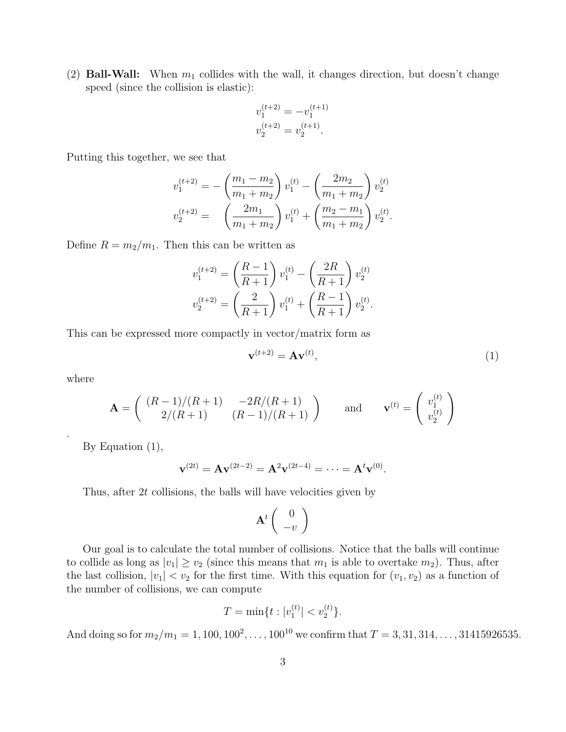(2) **Ball-Wall:** When  $m_1$  collides with the wall, it changes direction, but doesn't change speed (since the collision is elastic):

$$
v_1^{(t+2)} = -v_1^{(t+1)}
$$
  

$$
v_2^{(t+2)} = v_2^{(t+1)}.
$$

Putting this together, we see that

$$
v_1^{(t+2)} = -\left(\frac{m_1 - m_2}{m_1 + m_2}\right) v_1^{(t)} - \left(\frac{2m_2}{m_1 + m_2}\right) v_2^{(t)}
$$
  

$$
v_2^{(t+2)} = \left(\frac{2m_1}{m_1 + m_2}\right) v_1^{(t)} + \left(\frac{m_2 - m_1}{m_1 + m_2}\right) v_2^{(t)}.
$$

Define  $R = m_2/m_1$ . Then this can be written as

$$
v_1^{(t+2)} = \left(\frac{R-1}{R+1}\right) v_1^{(t)} - \left(\frac{2R}{R+1}\right) v_2^{(t)}
$$

$$
v_2^{(t+2)} = \left(\frac{2}{R+1}\right) v_1^{(t)} + \left(\frac{R-1}{R+1}\right) v_2^{(t)}.
$$

This can be expressed more compactly in vector/matrix form as

$$
\mathbf{v}^{(t+2)} = \mathbf{A}\mathbf{v}^{(t)},\tag{1}
$$

where

.

$$
\mathbf{A} = \begin{pmatrix} (R-1)/(R+1) & -2R/(R+1) \\ 2/(R+1) & (R-1)/(R+1) \end{pmatrix} \text{ and } \mathbf{v}^{(t)} = \begin{pmatrix} v_1^{(t)} \\ v_2^{(t)} \end{pmatrix}
$$

By Equation (1),

$$
\mathbf{v}^{(2t)} = \mathbf{A} \mathbf{v}^{(2t-2)} = \mathbf{A}^2 \mathbf{v}^{(2t-4)} = \cdots = \mathbf{A}^t \mathbf{v}^{(0)}.
$$

Thus, after 2t collisions, the balls will have velocities given by

$$
\mathbf{A}^t \left(\begin{array}{c} 0 \\ -v \end{array}\right)
$$

Our goal is to calculate the total number of collisions. Notice that the balls will continue to collide as long as  $|v_1| \ge v_2$  (since this means that  $m_1$  is able to overtake  $m_2$ ). Thus, after the last collision,  $|v_1| < v_2$  for the first time. With this equation for  $(v_1, v_2)$  as a function of the number of collisions, we can compute

$$
T = \min\{t : |v_1^{(t)}| < v_2^{(t)}\}.
$$

And doing so for  $m_2/m_1 = 1, 100, 100^2, \ldots, 100^{10}$  we confirm that  $T = 3, 31, 314, \ldots, 31415926535$ .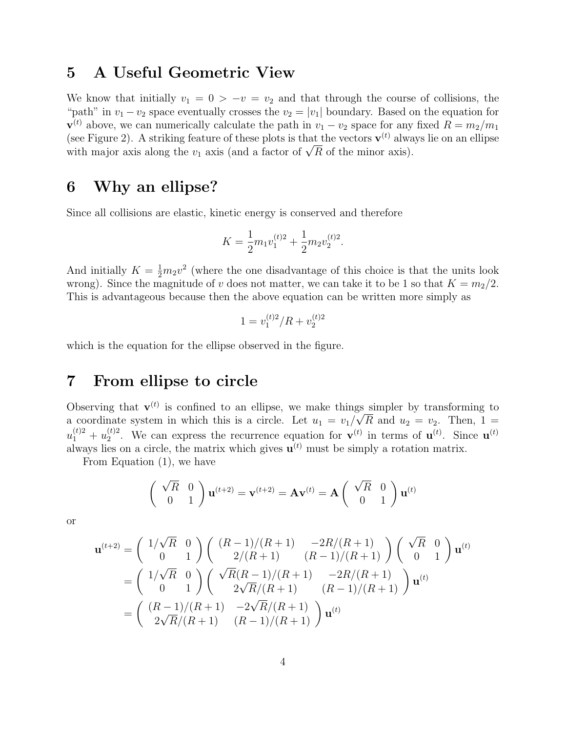## 5 A Useful Geometric View

We know that initially  $v_1 = 0 > -v = v_2$  and that through the course of collisions, the "path" in  $v_1 - v_2$  space eventually crosses the  $v_2 = |v_1|$  boundary. Based on the equation for  $\mathbf{v}^{(t)}$  above, we can numerically calculate the path in  $v_1 - v_2$  space for any fixed  $R = m_2/m_1$ (see Figure 2). A striking feature of these plots is that the vectors  $\mathbf{v}^{(t)}$  always lie on an ellipse (see Figure 2). A striking feature of these plots is that the vectors  $\mathbf{v}^{\nu}$  alway with major axis along the  $v_1$  axis (and a factor of  $\sqrt{R}$  of the minor axis).

#### 6 Why an ellipse?

Since all collisions are elastic, kinetic energy is conserved and therefore

$$
K = \frac{1}{2}m_1v_1^{(t)2} + \frac{1}{2}m_2v_2^{(t)2}.
$$

And initially  $K = \frac{1}{2}m_2v^2$  (where the one disadvantage of this choice is that the units look wrong). Since the magnitude of v does not matter, we can take it to be 1 so that  $K = m<sub>2</sub>/2$ . This is advantageous because then the above equation can be written more simply as

$$
1 = v_1^{(t)2} / R + v_2^{(t)2}
$$

which is the equation for the ellipse observed in the figure.

#### 7 From ellipse to circle

Observing that  $\mathbf{v}^{(t)}$  is confined to an ellipse, we make things simpler by transforming to a coordinate system in which this is a circle. Let  $u_1 = v_1/\sqrt{R}$  and  $u_2 = v_2$ . Then,  $1 =$  $u_1^{(t)2} + u_2^{(t)2}$  $_2^{(t)2}$ . We can express the recurrence equation for  $\mathbf{v}^{(t)}$  in terms of  $\mathbf{u}^{(t)}$ . Since  $\mathbf{u}^{(t)}$ always lies on a circle, the matrix which gives  $\mathbf{u}^{(t)}$  must be simply a rotation matrix.

From Equation (1), we have

$$
\begin{pmatrix} \sqrt{R} & 0\\ 0 & 1 \end{pmatrix} \mathbf{u}^{(t+2)} = \mathbf{v}^{(t+2)} = \mathbf{A}\mathbf{v}^{(t)} = \mathbf{A} \begin{pmatrix} \sqrt{R} & 0\\ 0 & 1 \end{pmatrix} \mathbf{u}^{(t)}
$$

or

$$
\mathbf{u}^{(t+2)} = \begin{pmatrix} 1/\sqrt{R} & 0 \\ 0 & 1 \end{pmatrix} \begin{pmatrix} (R-1)/(R+1) & -2R/(R+1) \\ 2/(R+1) & (R-1)/(R+1) \end{pmatrix} \begin{pmatrix} \sqrt{R} & 0 \\ 0 & 1 \end{pmatrix} \mathbf{u}^{(t)}
$$

$$
= \begin{pmatrix} 1/\sqrt{R} & 0 \\ 0 & 1 \end{pmatrix} \begin{pmatrix} \sqrt{R}(R-1)/(R+1) & -2R/(R+1) \\ 2\sqrt{R}/(R+1) & (R-1)/(R+1) \end{pmatrix} \mathbf{u}^{(t)}
$$

$$
= \begin{pmatrix} (R-1)/(R+1) & -2\sqrt{R}/(R+1) \\ 2\sqrt{R}/(R+1) & (R-1)/(R+1) \end{pmatrix} \mathbf{u}^{(t)}
$$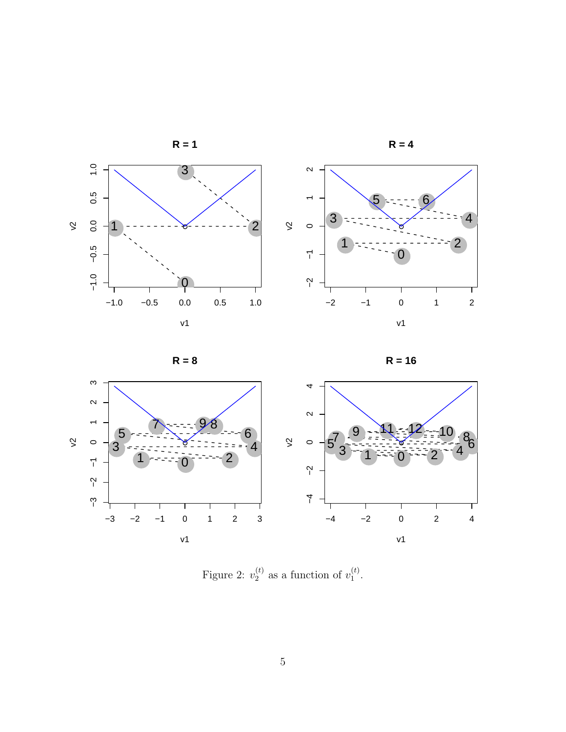



$$
R = 8
$$





Figure 2:  $v_2^{(t)}$  $_2^{(t)}$  as a function of  $v_1^{(t)}$  $\frac{(t)}{1}$ .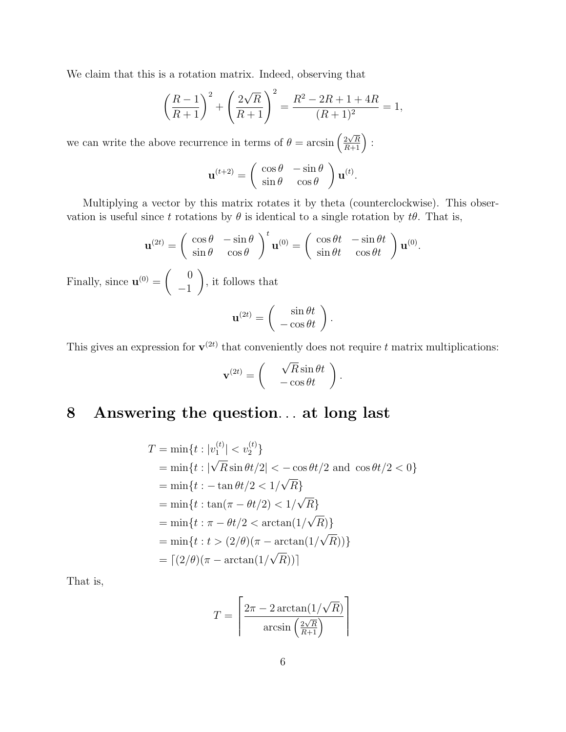We claim that this is a rotation matrix. Indeed, observing that

$$
\left(\frac{R-1}{R+1}\right)^2 + \left(\frac{2\sqrt{R}}{R+1}\right)^2 = \frac{R^2 - 2R + 1 + 4R}{(R+1)^2} = 1,
$$

we can write the above recurrence in terms of  $\theta = \arcsin\left(\frac{2\sqrt{R}}{R+1}\right)$ :

$$
\mathbf{u}^{(t+2)} = \begin{pmatrix} \cos \theta & -\sin \theta \\ \sin \theta & \cos \theta \end{pmatrix} \mathbf{u}^{(t)}.
$$

Multiplying a vector by this matrix rotates it by theta (counterclockwise). This observation is useful since t rotations by  $\theta$  is identical to a single rotation by  $t\theta$ . That is,

.

$$
\mathbf{u}^{(2t)} = \begin{pmatrix} \cos \theta & -\sin \theta \\ \sin \theta & \cos \theta \end{pmatrix}^t \mathbf{u}^{(0)} = \begin{pmatrix} \cos \theta t & -\sin \theta t \\ \sin \theta t & \cos \theta t \end{pmatrix} \mathbf{u}^{(0)}
$$
  
Finally, since  $\mathbf{u}^{(0)} = \begin{pmatrix} 0 \\ -1 \end{pmatrix}$ , it follows that  

$$
\mathbf{u}^{(2t)} = \begin{pmatrix} \sin \theta t \\ -\cos \theta t \end{pmatrix}.
$$

This gives an expression for  $\mathbf{v}^{(2t)}$  that conveniently does not require t matrix multiplications:

$$
\mathbf{v}^{(2t)} = \begin{pmatrix} \sqrt{R}\sin\theta t \\ -\cos\theta t \end{pmatrix}.
$$

## 8 Answering the question. . . at long last

$$
T = \min\{t : |v_1^{(t)}| < v_2^{(t)}\}
$$
  
=  $\min\{t : |\sqrt{R}\sin \theta t/2| < -\cos \theta t/2 \text{ and } \cos \theta t/2 < 0\}$   
=  $\min\{t : -\tan \theta t/2 < 1/\sqrt{R}\}$   
=  $\min\{t : \tan(\pi - \theta t/2) < 1/\sqrt{R}\}$   
=  $\min\{t : \pi - \theta t/2 < \arctan(1/\sqrt{R})\}$   
=  $\min\{t : t > (2/\theta)(\pi - \arctan(1/\sqrt{R}))\}$   
=  $\lceil(2/\theta)(\pi - \arctan(1/\sqrt{R}))\rceil$ 

That is,

$$
T = \left\lceil \frac{2\pi - 2\arctan\left(\frac{1}{\sqrt{R}}\right)}{\arcsin\left(\frac{2\sqrt{R}}{R+1}\right)} \right\rceil
$$